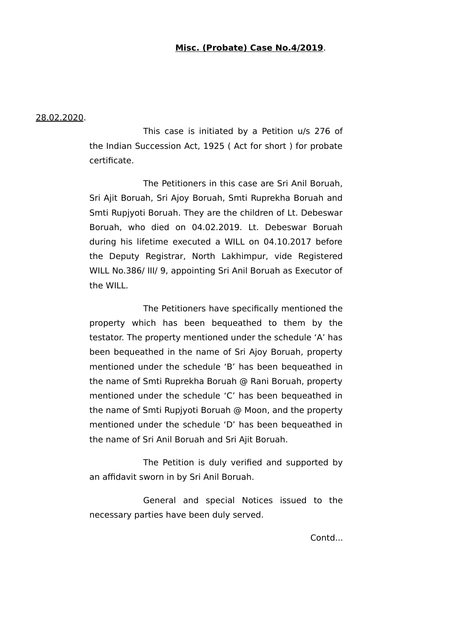#### 28.02.2020.

This case is initiated by a Petition u/s 276 of the Indian Succession Act, 1925 ( Act for short ) for probate certificate.

The Petitioners in this case are Sri Anil Boruah, Sri Ajit Boruah, Sri Ajoy Boruah, Smti Ruprekha Boruah and Smti Rupjyoti Boruah. They are the children of Lt. Debeswar Boruah, who died on 04.02.2019. Lt. Debeswar Boruah during his lifetime executed a WILL on 04.10.2017 before the Deputy Registrar, North Lakhimpur, vide Registered WILL No.386/ III/ 9, appointing Sri Anil Boruah as Executor of the WILL.

The Petitioners have specifically mentioned the property which has been bequeathed to them by the testator. The property mentioned under the schedule 'A' has been bequeathed in the name of Sri Ajoy Boruah, property mentioned under the schedule 'B' has been bequeathed in the name of Smti Ruprekha Boruah @ Rani Boruah, property mentioned under the schedule 'C' has been bequeathed in the name of Smti Rupjyoti Boruah @ Moon, and the property mentioned under the schedule 'D' has been bequeathed in the name of Sri Anil Boruah and Sri Ajit Boruah.

The Petition is duly verified and supported by an affidavit sworn in by Sri Anil Boruah.

General and special Notices issued to the necessary parties have been duly served.

Contd...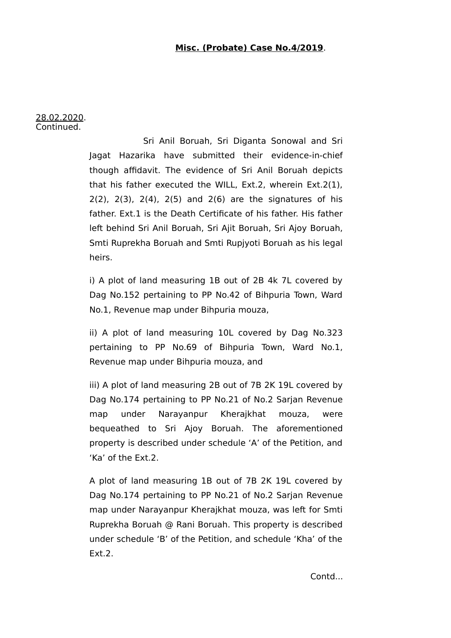28.02.2020. Continued.

> Sri Anil Boruah, Sri Diganta Sonowal and Sri Jagat Hazarika have submitted their evidence-in-chief though affidavit. The evidence of Sri Anil Boruah depicts that his father executed the WILL, Ext.2, wherein Ext.2(1), 2(2), 2(3), 2(4), 2(5) and 2(6) are the signatures of his father. Ext.1 is the Death Certificate of his father. His father left behind Sri Anil Boruah, Sri Ajit Boruah, Sri Ajoy Boruah, Smti Ruprekha Boruah and Smti Rupjyoti Boruah as his legal heirs.

> i) A plot of land measuring 1B out of 2B 4k 7L covered by Dag No.152 pertaining to PP No.42 of Bihpuria Town, Ward No.1, Revenue map under Bihpuria mouza,

> ii) A plot of land measuring 10L covered by Dag No.323 pertaining to PP No.69 of Bihpuria Town, Ward No.1, Revenue map under Bihpuria mouza, and

> iii) A plot of land measuring 2B out of 7B 2K 19L covered by Dag No.174 pertaining to PP No.21 of No.2 Sarjan Revenue map under Narayanpur Kherajkhat mouza, were bequeathed to Sri Ajoy Boruah. The aforementioned property is described under schedule 'A' of the Petition, and 'Ka' of the Ext.2.

> A plot of land measuring 1B out of 7B 2K 19L covered by Dag No.174 pertaining to PP No.21 of No.2 Sarjan Revenue map under Narayanpur Kherajkhat mouza, was left for Smti Ruprekha Boruah @ Rani Boruah. This property is described under schedule 'B' of the Petition, and schedule 'Kha' of the Ext.2.

> > Contd...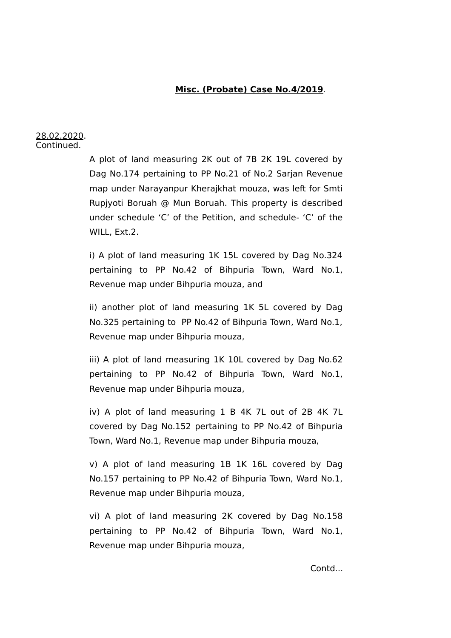#### 28.02.2020. Continued.

A plot of land measuring 2K out of 7B 2K 19L covered by Dag No.174 pertaining to PP No.21 of No.2 Sarjan Revenue map under Narayanpur Kherajkhat mouza, was left for Smti Rupjyoti Boruah @ Mun Boruah. This property is described under schedule 'C' of the Petition, and schedule- 'C' of the WILL, Ext.2.

i) A plot of land measuring 1K 15L covered by Dag No.324 pertaining to PP No.42 of Bihpuria Town, Ward No.1, Revenue map under Bihpuria mouza, and

ii) another plot of land measuring 1K 5L covered by Dag No.325 pertaining to PP No.42 of Bihpuria Town, Ward No.1, Revenue map under Bihpuria mouza,

iii) A plot of land measuring 1K 10L covered by Dag No.62 pertaining to PP No.42 of Bihpuria Town, Ward No.1, Revenue map under Bihpuria mouza,

iv) A plot of land measuring 1 B 4K 7L out of 2B 4K 7L covered by Dag No.152 pertaining to PP No.42 of Bihpuria Town, Ward No.1, Revenue map under Bihpuria mouza,

v) A plot of land measuring 1B 1K 16L covered by Dag No.157 pertaining to PP No.42 of Bihpuria Town, Ward No.1, Revenue map under Bihpuria mouza,

vi) A plot of land measuring 2K covered by Dag No.158 pertaining to PP No.42 of Bihpuria Town, Ward No.1, Revenue map under Bihpuria mouza,

Contd...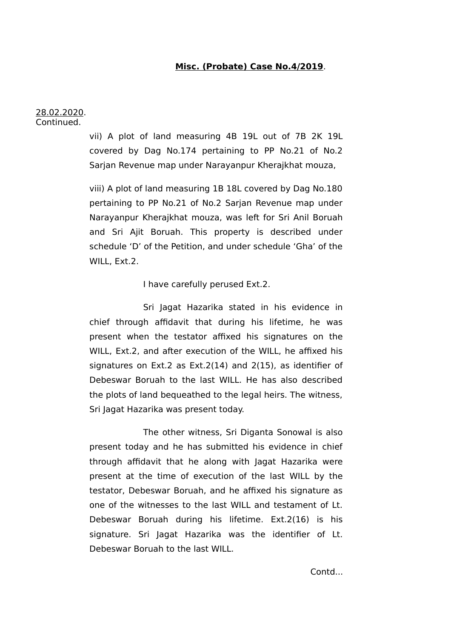28.02.2020. Continued.

> vii) A plot of land measuring 4B 19L out of 7B 2K 19L covered by Dag No.174 pertaining to PP No.21 of No.2 Sarjan Revenue map under Narayanpur Kherajkhat mouza,

> viii) A plot of land measuring 1B 18L covered by Dag No.180 pertaining to PP No.21 of No.2 Sarjan Revenue map under Narayanpur Kherajkhat mouza, was left for Sri Anil Boruah and Sri Ajit Boruah. This property is described under schedule 'D' of the Petition, and under schedule 'Gha' of the WILL, Ext.2.

> > I have carefully perused Ext.2.

Sri Jagat Hazarika stated in his evidence in chief through affidavit that during his lifetime, he was present when the testator affixed his signatures on the WILL, Ext.2, and after execution of the WILL, he affixed his signatures on Ext.2 as Ext.2(14) and 2(15), as identifier of Debeswar Boruah to the last WILL. He has also described the plots of land bequeathed to the legal heirs. The witness, Sri Jagat Hazarika was present today.

The other witness, Sri Diganta Sonowal is also present today and he has submitted his evidence in chief through affidavit that he along with Jagat Hazarika were present at the time of execution of the last WILL by the testator, Debeswar Boruah, and he affixed his signature as one of the witnesses to the last WILL and testament of Lt. Debeswar Boruah during his lifetime. Ext.2(16) is his signature. Sri Jagat Hazarika was the identifier of Lt. Debeswar Boruah to the last WILL.